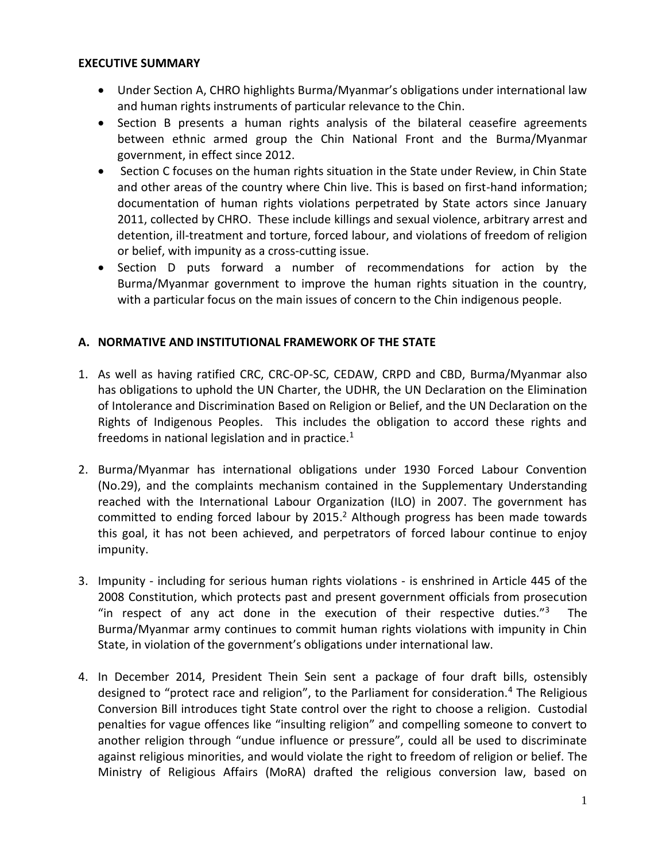#### **EXECUTIVE SUMMARY**

- Under Section A, CHRO highlights Burma/Myanmar's obligations under international law and human rights instruments of particular relevance to the Chin.
- Section B presents a human rights analysis of the bilateral ceasefire agreements between ethnic armed group the Chin National Front and the Burma/Myanmar government, in effect since 2012.
- Section C focuses on the human rights situation in the State under Review, in Chin State and other areas of the country where Chin live. This is based on first-hand information; documentation of human rights violations perpetrated by State actors since January 2011, collected by CHRO. These include killings and sexual violence, arbitrary arrest and detention, ill-treatment and torture, forced labour, and violations of freedom of religion or belief, with impunity as a cross-cutting issue.
- Section D puts forward a number of recommendations for action by the Burma/Myanmar government to improve the human rights situation in the country, with a particular focus on the main issues of concern to the Chin indigenous people.

### **A. NORMATIVE AND INSTITUTIONAL FRAMEWORK OF THE STATE**

- 1. As well as having ratified CRC, CRC-OP-SC, CEDAW, CRPD and CBD, Burma/Myanmar also has obligations to uphold the UN Charter, the UDHR, the UN Declaration on the Elimination of Intolerance and Discrimination Based on Religion or Belief, and the UN Declaration on the Rights of Indigenous Peoples. This includes the obligation to accord these rights and freedoms in national legislation and in practice.<sup>1</sup>
- 2. Burma/Myanmar has international obligations under 1930 Forced Labour Convention (No.29), and the complaints mechanism contained in the Supplementary Understanding reached with the International Labour Organization (ILO) in 2007. The government has committed to ending forced labour by 2015. <sup>2</sup> Although progress has been made towards this goal, it has not been achieved, and perpetrators of forced labour continue to enjoy impunity.
- 3. Impunity including for serious human rights violations is enshrined in Article 445 of the 2008 Constitution, which protects past and present government officials from prosecution "in respect of any act done in the execution of their respective duties." $3$  The Burma/Myanmar army continues to commit human rights violations with impunity in Chin State, in violation of the government's obligations under international law.
- 4. In December 2014, President Thein Sein sent a package of four draft bills, ostensibly designed to "protect race and religion", to the Parliament for consideration.<sup>4</sup> The Religious Conversion Bill introduces tight State control over the right to choose a religion. Custodial penalties for vague offences like "insulting religion" and compelling someone to convert to another religion through "undue influence or pressure", could all be used to discriminate against religious minorities, and would violate the right to freedom of religion or belief. The Ministry of Religious Affairs (MoRA) drafted the religious conversion law, based on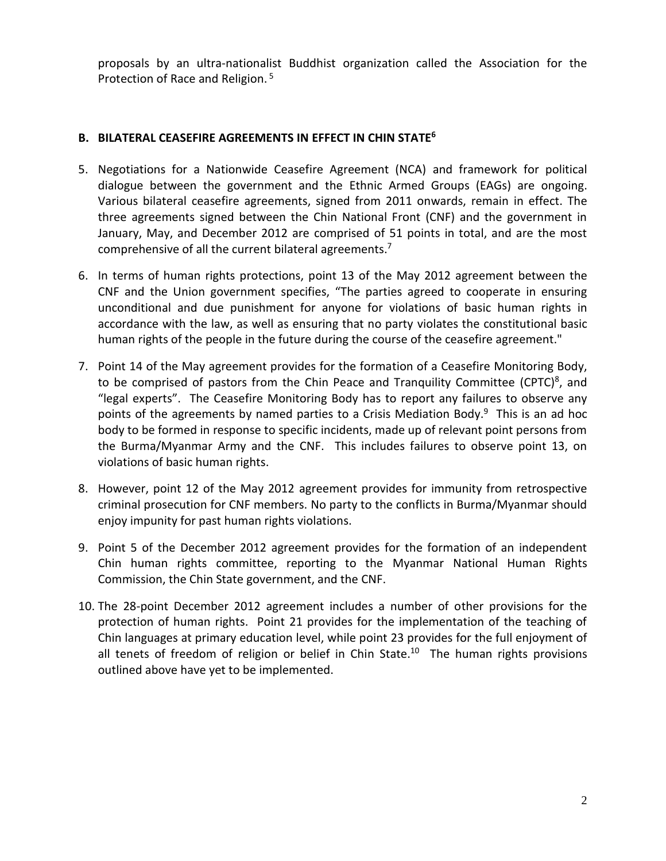proposals by an ultra-nationalist Buddhist organization called the Association for the Protection of Race and Religion.<sup>5</sup>

# **B. BILATERAL CEASEFIRE AGREEMENTS IN EFFECT IN CHIN STATE<sup>6</sup>**

- 5. Negotiations for a Nationwide Ceasefire Agreement (NCA) and framework for political dialogue between the government and the Ethnic Armed Groups (EAGs) are ongoing. Various bilateral ceasefire agreements, signed from 2011 onwards, remain in effect. The three agreements signed between the Chin National Front (CNF) and the government in January, May, and December 2012 are comprised of 51 points in total, and are the most comprehensive of all the current bilateral agreements.<sup>7</sup>
- 6. In terms of human rights protections, point 13 of the May 2012 agreement between the CNF and the Union government specifies, "The parties agreed to cooperate in ensuring unconditional and due punishment for anyone for violations of basic human rights in accordance with the law, as well as ensuring that no party violates the constitutional basic human rights of the people in the future during the course of the ceasefire agreement."
- 7. Point 14 of the May agreement provides for the formation of a Ceasefire Monitoring Body, to be comprised of pastors from the Chin Peace and Tranquility Committee (CPTC)<sup>8</sup>, and "legal experts". The Ceasefire Monitoring Body has to report any failures to observe any points of the agreements by named parties to a Crisis Mediation Body.<sup>9</sup> This is an ad hoc body to be formed in response to specific incidents, made up of relevant point persons from the Burma/Myanmar Army and the CNF. This includes failures to observe point 13, on violations of basic human rights.
- 8. However, point 12 of the May 2012 agreement provides for immunity from retrospective criminal prosecution for CNF members. No party to the conflicts in Burma/Myanmar should enjoy impunity for past human rights violations.
- 9. Point 5 of the December 2012 agreement provides for the formation of an independent Chin human rights committee, reporting to the Myanmar National Human Rights Commission, the Chin State government, and the CNF.
- 10. The 28-point December 2012 agreement includes a number of other provisions for the protection of human rights. Point 21 provides for the implementation of the teaching of Chin languages at primary education level, while point 23 provides for the full enjoyment of all tenets of freedom of religion or belief in Chin State.<sup>10</sup> The human rights provisions outlined above have yet to be implemented.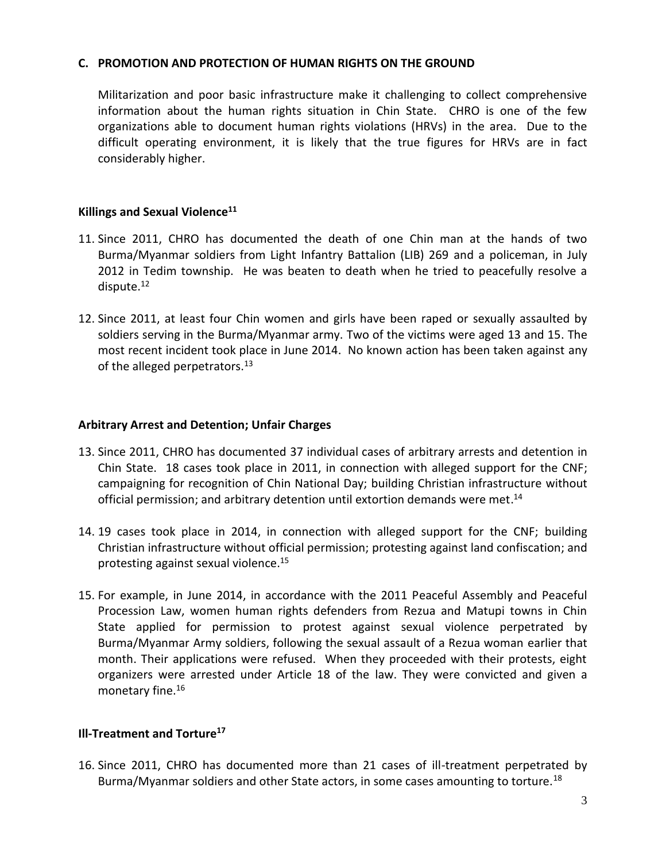#### **C. PROMOTION AND PROTECTION OF HUMAN RIGHTS ON THE GROUND**

Militarization and poor basic infrastructure make it challenging to collect comprehensive information about the human rights situation in Chin State. CHRO is one of the few organizations able to document human rights violations (HRVs) in the area. Due to the difficult operating environment, it is likely that the true figures for HRVs are in fact considerably higher.

#### **Killings and Sexual Violence<sup>11</sup>**

- 11. Since 2011, CHRO has documented the death of one Chin man at the hands of two Burma/Myanmar soldiers from Light Infantry Battalion (LIB) 269 and a policeman, in July 2012 in Tedim township. He was beaten to death when he tried to peacefully resolve a dispute.<sup>12</sup>
- 12. Since 2011, at least four Chin women and girls have been raped or sexually assaulted by soldiers serving in the Burma/Myanmar army. Two of the victims were aged 13 and 15. The most recent incident took place in June 2014. No known action has been taken against any of the alleged perpetrators. $^{13}$

#### **Arbitrary Arrest and Detention; Unfair Charges**

- 13. Since 2011, CHRO has documented 37 individual cases of arbitrary arrests and detention in Chin State. 18 cases took place in 2011, in connection with alleged support for the CNF; campaigning for recognition of Chin National Day; building Christian infrastructure without official permission; and arbitrary detention until extortion demands were met.<sup>14</sup>
- 14. 19 cases took place in 2014, in connection with alleged support for the CNF; building Christian infrastructure without official permission; protesting against land confiscation; and protesting against sexual violence. 15
- 15. For example, in June 2014, in accordance with the 2011 Peaceful Assembly and Peaceful Procession Law, women human rights defenders from Rezua and Matupi towns in Chin State applied for permission to protest against sexual violence perpetrated by Burma/Myanmar Army soldiers, following the sexual assault of a Rezua woman earlier that month. Their applications were refused. When they proceeded with their protests, eight organizers were arrested under Article 18 of the law. They were convicted and given a monetary fine.<sup>16</sup>

# **Ill-Treatment and Torture<sup>17</sup>**

16. Since 2011, CHRO has documented more than 21 cases of ill-treatment perpetrated by Burma/Myanmar soldiers and other State actors, in some cases amounting to torture.<sup>18</sup>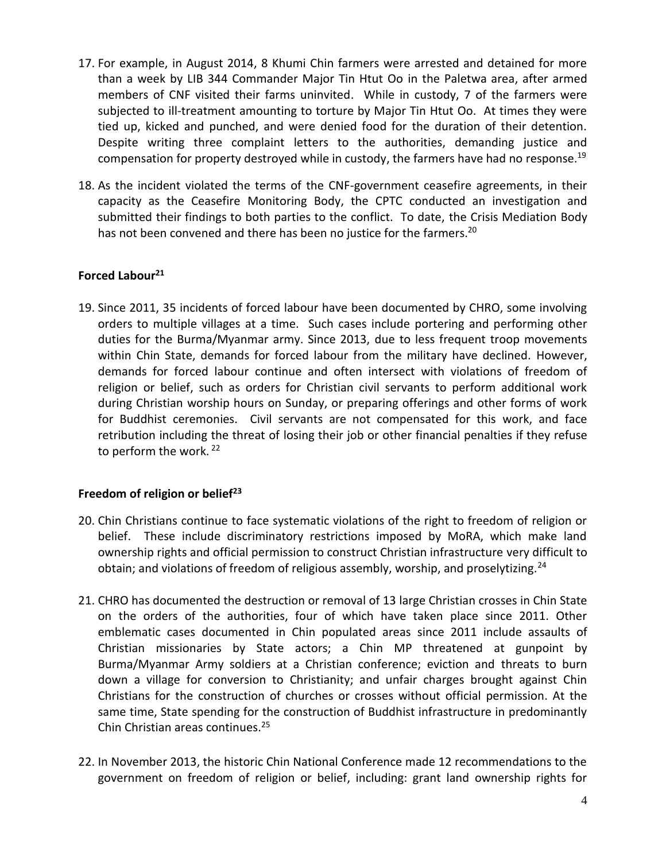- 17. For example, in August 2014, 8 Khumi Chin farmers were arrested and detained for more than a week by LIB 344 Commander Major Tin Htut Oo in the Paletwa area, after armed members of CNF visited their farms uninvited. While in custody, 7 of the farmers were subjected to ill-treatment amounting to torture by Major Tin Htut Oo. At times they were tied up, kicked and punched, and were denied food for the duration of their detention. Despite writing three complaint letters to the authorities, demanding justice and compensation for property destroyed while in custody, the farmers have had no response.<sup>19</sup>
- 18. As the incident violated the terms of the CNF-government ceasefire agreements, in their capacity as the Ceasefire Monitoring Body, the CPTC conducted an investigation and submitted their findings to both parties to the conflict. To date, the Crisis Mediation Body has not been convened and there has been no justice for the farmers.<sup>20</sup>

# **Forced Labour<sup>21</sup>**

19. Since 2011, 35 incidents of forced labour have been documented by CHRO, some involving orders to multiple villages at a time. Such cases include portering and performing other duties for the Burma/Myanmar army. Since 2013, due to less frequent troop movements within Chin State, demands for forced labour from the military have declined. However, demands for forced labour continue and often intersect with violations of freedom of religion or belief, such as orders for Christian civil servants to perform additional work during Christian worship hours on Sunday, or preparing offerings and other forms of work for Buddhist ceremonies. Civil servants are not compensated for this work, and face retribution including the threat of losing their job or other financial penalties if they refuse to perform the work.<sup>22</sup>

# **Freedom of religion or belief<sup>23</sup>**

- 20. Chin Christians continue to face systematic violations of the right to freedom of religion or belief. These include discriminatory restrictions imposed by MoRA, which make land ownership rights and official permission to construct Christian infrastructure very difficult to obtain; and violations of freedom of religious assembly, worship, and proselytizing.<sup>24</sup>
- 21. CHRO has documented the destruction or removal of 13 large Christian crosses in Chin State on the orders of the authorities, four of which have taken place since 2011. Other emblematic cases documented in Chin populated areas since 2011 include assaults of Christian missionaries by State actors; a Chin MP threatened at gunpoint by Burma/Myanmar Army soldiers at a Christian conference; eviction and threats to burn down a village for conversion to Christianity; and unfair charges brought against Chin Christians for the construction of churches or crosses without official permission. At the same time, State spending for the construction of Buddhist infrastructure in predominantly Chin Christian areas continues.<sup>25</sup>
- 22. In November 2013, the historic Chin National Conference made 12 recommendations to the government on freedom of religion or belief, including: grant land ownership rights for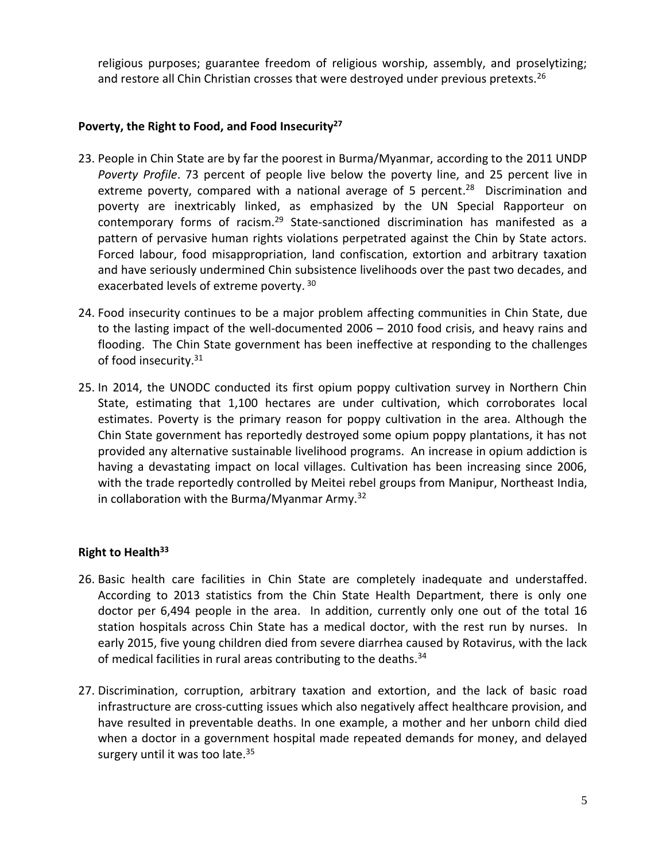religious purposes; guarantee freedom of religious worship, assembly, and proselytizing; and restore all Chin Christian crosses that were destroyed under previous pretexts.<sup>26</sup>

## **Poverty, the Right to Food, and Food Insecurity<sup>27</sup>**

- 23. People in Chin State are by far the poorest in Burma/Myanmar, according to the 2011 UNDP *Poverty Profile*. 73 percent of people live below the poverty line, and 25 percent live in extreme poverty, compared with a national average of 5 percent.<sup>28</sup> Discrimination and poverty are inextricably linked, as emphasized by the UN Special Rapporteur on contemporary forms of racism.<sup>29</sup> State-sanctioned discrimination has manifested as a pattern of pervasive human rights violations perpetrated against the Chin by State actors. Forced labour, food misappropriation, land confiscation, extortion and arbitrary taxation and have seriously undermined Chin subsistence livelihoods over the past two decades, and exacerbated levels of extreme poverty. 30
- 24. Food insecurity continues to be a major problem affecting communities in Chin State, due to the lasting impact of the well-documented 2006 – 2010 food crisis, and heavy rains and flooding. The Chin State government has been ineffective at responding to the challenges of food insecurity.<sup>31</sup>
- 25. In 2014, the UNODC conducted its first opium poppy cultivation survey in Northern Chin State, estimating that 1,100 hectares are under cultivation, which corroborates local estimates. Poverty is the primary reason for poppy cultivation in the area. Although the Chin State government has reportedly destroyed some opium poppy plantations, it has not provided any alternative sustainable livelihood programs. An increase in opium addiction is having a devastating impact on local villages. Cultivation has been increasing since 2006, with the trade reportedly controlled by Meitei rebel groups from Manipur, Northeast India, in collaboration with the Burma/Myanmar Army.<sup>32</sup>

# **Right to Health<sup>33</sup>**

- 26. Basic health care facilities in Chin State are completely inadequate and understaffed. According to 2013 statistics from the Chin State Health Department, there is only one doctor per 6,494 people in the area. In addition, currently only one out of the total 16 station hospitals across Chin State has a medical doctor, with the rest run by nurses. In early 2015, five young children died from severe diarrhea caused by Rotavirus, with the lack of medical facilities in rural areas contributing to the deaths.<sup>34</sup>
- 27. Discrimination, corruption, arbitrary taxation and extortion, and the lack of basic road infrastructure are cross-cutting issues which also negatively affect healthcare provision, and have resulted in preventable deaths. In one example, a mother and her unborn child died when a doctor in a government hospital made repeated demands for money, and delayed surgery until it was too late.<sup>35</sup>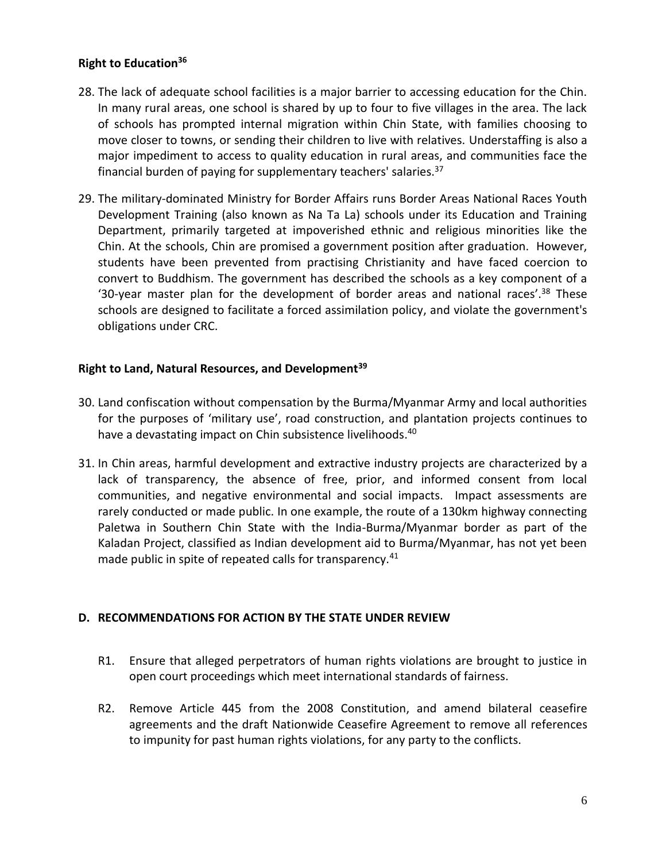## **Right to Education<sup>36</sup>**

- 28. The lack of adequate school facilities is a major barrier to accessing education for the Chin. In many rural areas, one school is shared by up to four to five villages in the area. The lack of schools has prompted internal migration within Chin State, with families choosing to move closer to towns, or sending their children to live with relatives. Understaffing is also a major impediment to access to quality education in rural areas, and communities face the financial burden of paying for supplementary teachers' salaries.  $37$
- 29. The military-dominated Ministry for Border Affairs runs Border Areas National Races Youth Development Training (also known as Na Ta La) schools under its Education and Training Department, primarily targeted at impoverished ethnic and religious minorities like the Chin. At the schools, Chin are promised a government position after graduation. However, students have been prevented from practising Christianity and have faced coercion to convert to Buddhism. The government has described the schools as a key component of a '30-year master plan for the development of border areas and national races'.<sup>38</sup> These schools are designed to facilitate a forced assimilation policy, and violate the government's obligations under CRC.

#### **Right to Land, Natural Resources, and Development<sup>39</sup>**

- 30. Land confiscation without compensation by the Burma/Myanmar Army and local authorities for the purposes of 'military use', road construction, and plantation projects continues to have a devastating impact on Chin subsistence livelihoods.<sup>40</sup>
- 31. In Chin areas, harmful development and extractive industry projects are characterized by a lack of transparency, the absence of free, prior, and informed consent from local communities, and negative environmental and social impacts. Impact assessments are rarely conducted or made public. In one example, the route of a 130km highway connecting Paletwa in Southern Chin State with the India-Burma/Myanmar border as part of the Kaladan Project, classified as Indian development aid to Burma/Myanmar, has not yet been made public in spite of repeated calls for transparency.<sup>41</sup>

#### **D. RECOMMENDATIONS FOR ACTION BY THE STATE UNDER REVIEW**

- R1. Ensure that alleged perpetrators of human rights violations are brought to justice in open court proceedings which meet international standards of fairness.
- R2. Remove Article 445 from the 2008 Constitution, and amend bilateral ceasefire agreements and the draft Nationwide Ceasefire Agreement to remove all references to impunity for past human rights violations, for any party to the conflicts.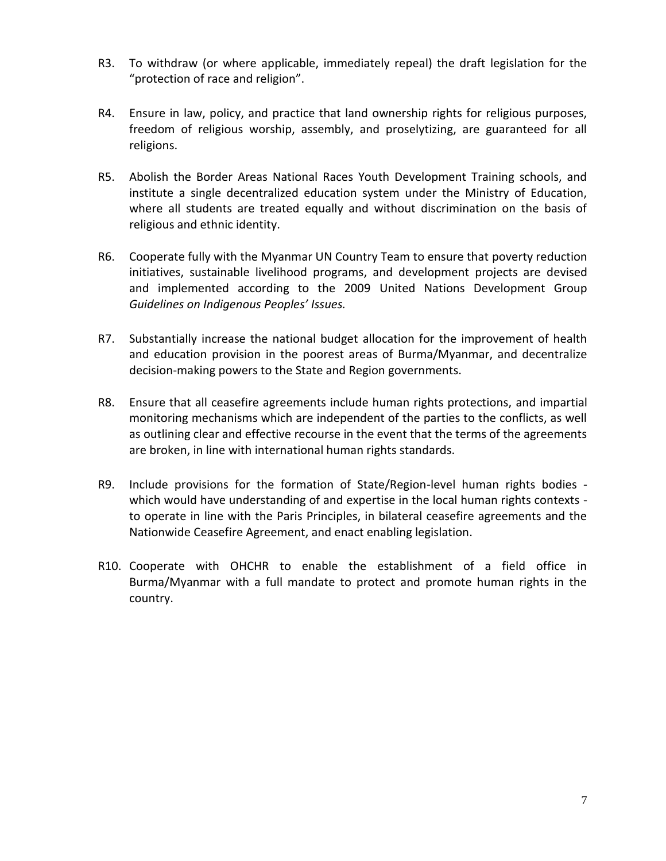- R3. To withdraw (or where applicable, immediately repeal) the draft legislation for the "protection of race and religion".
- R4. Ensure in law, policy, and practice that land ownership rights for religious purposes, freedom of religious worship, assembly, and proselytizing, are guaranteed for all religions.
- R5. Abolish the Border Areas National Races Youth Development Training schools, and institute a single decentralized education system under the Ministry of Education, where all students are treated equally and without discrimination on the basis of religious and ethnic identity.
- R6. Cooperate fully with the Myanmar UN Country Team to ensure that poverty reduction initiatives, sustainable livelihood programs, and development projects are devised and implemented according to the 2009 United Nations Development Group *Guidelines on Indigenous Peoples' Issues.*
- R7. Substantially increase the national budget allocation for the improvement of health and education provision in the poorest areas of Burma/Myanmar, and decentralize decision-making powers to the State and Region governments.
- R8. Ensure that all ceasefire agreements include human rights protections, and impartial monitoring mechanisms which are independent of the parties to the conflicts, as well as outlining clear and effective recourse in the event that the terms of the agreements are broken, in line with international human rights standards.
- R9. Include provisions for the formation of State/Region-level human rights bodies which would have understanding of and expertise in the local human rights contexts to operate in line with the Paris Principles, in bilateral ceasefire agreements and the Nationwide Ceasefire Agreement, and enact enabling legislation.
- R10. Cooperate with OHCHR to enable the establishment of a field office in Burma/Myanmar with a full mandate to protect and promote human rights in the country.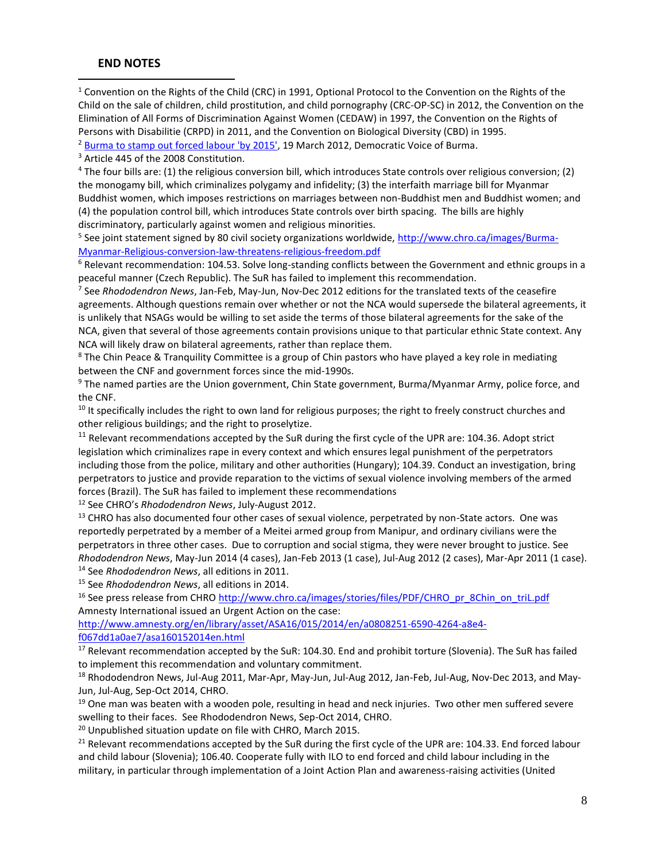#### **END NOTES**

l

<sup>1</sup> Convention on the Rights of the Child (CRC) in 1991, Optional Protocol to the Convention on the Rights of the Child on the sale of children, child prostitution, and child pornography (CRC-OP-SC) in 2012, the Convention on the Elimination of All Forms of Discrimination Against Women (CEDAW) in 1997, the Convention on the Rights of Persons with Disabilitie (CRPD) in 2011, and the Convention on Biological Diversity (CBD) in 1995. <sup>2</sup> [Burma to stamp out forced labour 'by 2015',](https://www.dvb.no/news/burma-to-stamp-out-forced-labour-by-2015/20899) 19 March 2012, Democratic Voice of Burma.

<sup>3</sup> Article 445 of the 2008 Constitution.

<sup>4</sup> The four bills are: (1) the religious conversion bill, which introduces State controls over religious conversion; (2) the monogamy bill, which criminalizes polygamy and infidelity; (3) the interfaith marriage bill for Myanmar Buddhist women, which imposes restrictions on marriages between non-Buddhist men and Buddhist women; and (4) the population control bill, which introduces State controls over birth spacing. The bills are highly discriminatory, particularly against women and religious minorities.

<sup>5</sup> See joint statement signed by 80 civil society organizations worldwide, [http://www.chro.ca/images/Burma-](http://www.chro.ca/images/Burma-Myanmar-Religious-conversion-law-threatens-religious-freedom.pdf)[Myanmar-Religious-conversion-law-threatens-religious-freedom.pdf](http://www.chro.ca/images/Burma-Myanmar-Religious-conversion-law-threatens-religious-freedom.pdf)

 $6$  Relevant recommendation: 104.53. Solve long-standing conflicts between the Government and ethnic groups in a peaceful manner (Czech Republic). The SuR has failed to implement this recommendation.

7 See *Rhododendron News*, Jan-Feb, May-Jun, Nov-Dec 2012 editions for the translated texts of the ceasefire agreements. Although questions remain over whether or not the NCA would supersede the bilateral agreements, it is unlikely that NSAGs would be willing to set aside the terms of those bilateral agreements for the sake of the NCA, given that several of those agreements contain provisions unique to that particular ethnic State context. Any NCA will likely draw on bilateral agreements, rather than replace them.

<sup>8</sup> The Chin Peace & Tranquility Committee is a group of Chin pastors who have played a key role in mediating between the CNF and government forces since the mid-1990s.

<sup>9</sup> The named parties are the Union government, Chin State government, Burma/Myanmar Army, police force, and the CNF.

 $10$  It specifically includes the right to own land for religious purposes; the right to freely construct churches and other religious buildings; and the right to proselytize.

<sup>11</sup> Relevant recommendations accepted by the SuR during the first cycle of the UPR are: 104.36. Adopt strict legislation which criminalizes rape in every context and which ensures legal punishment of the perpetrators including those from the police, military and other authorities (Hungary); 104.39. Conduct an investigation, bring perpetrators to justice and provide reparation to the victims of sexual violence involving members of the armed forces (Brazil). The SuR has failed to implement these recommendations

<sup>12</sup> See CHRO's *Rhododendron News*, July-August 2012.

<sup>13</sup> CHRO has also documented four other cases of sexual violence, perpetrated by non-State actors. One was reportedly perpetrated by a member of a Meitei armed group from Manipur, and ordinary civilians were the perpetrators in three other cases. Due to corruption and social stigma, they were never brought to justice. See *Rhododendron News*, May-Jun 2014 (4 cases), Jan-Feb 2013 (1 case), Jul-Aug 2012 (2 cases), Mar-Apr 2011 (1 case). <sup>14</sup> See *Rhododendron News*, all editions in 2011.

<sup>15</sup> See *Rhododendron News*, all editions in 2014.

<sup>16</sup> See press release from CHRO [http://www.chro.ca/images/stories/files/PDF/CHRO\\_pr\\_8Chin\\_on\\_triL.pdf](http://www.chro.ca/images/stories/files/PDF/CHRO_pr_8Chin_on_triL.pdf) Amnesty International issued an Urgent Action on the case:

[http://www.amnesty.org/en/library/asset/ASA16/015/2014/en/a0808251-6590-4264-a8e4](http://www.amnesty.org/en/library/asset/ASA16/015/2014/en/a0808251-6590-4264-a8e4-f067dd1a0ae7/asa160152014en.html) [f067dd1a0ae7/asa160152014en.html](http://www.amnesty.org/en/library/asset/ASA16/015/2014/en/a0808251-6590-4264-a8e4-f067dd1a0ae7/asa160152014en.html)

<sup>17</sup> Relevant recommendation accepted by the SuR: 104.30. End and prohibit torture (Slovenia). The SuR has failed to implement this recommendation and voluntary commitment.

<sup>18</sup> Rhododendron News, Jul-Aug 2011, Mar-Apr, May-Jun, Jul-Aug 2012, Jan-Feb, Jul-Aug, Nov-Dec 2013, and May-Jun, Jul-Aug, Sep-Oct 2014, CHRO.

<sup>19</sup> One man was beaten with a wooden pole, resulting in head and neck injuries. Two other men suffered severe swelling to their faces. See Rhododendron News, Sep-Oct 2014, CHRO.

<sup>20</sup> Unpublished situation update on file with CHRO, March 2015.

<sup>21</sup> Relevant recommendations accepted by the SuR during the first cycle of the UPR are: 104.33. End forced labour and child labour (Slovenia); 106.40. Cooperate fully with ILO to end forced and child labour including in the military, in particular through implementation of a Joint Action Plan and awareness-raising activities (United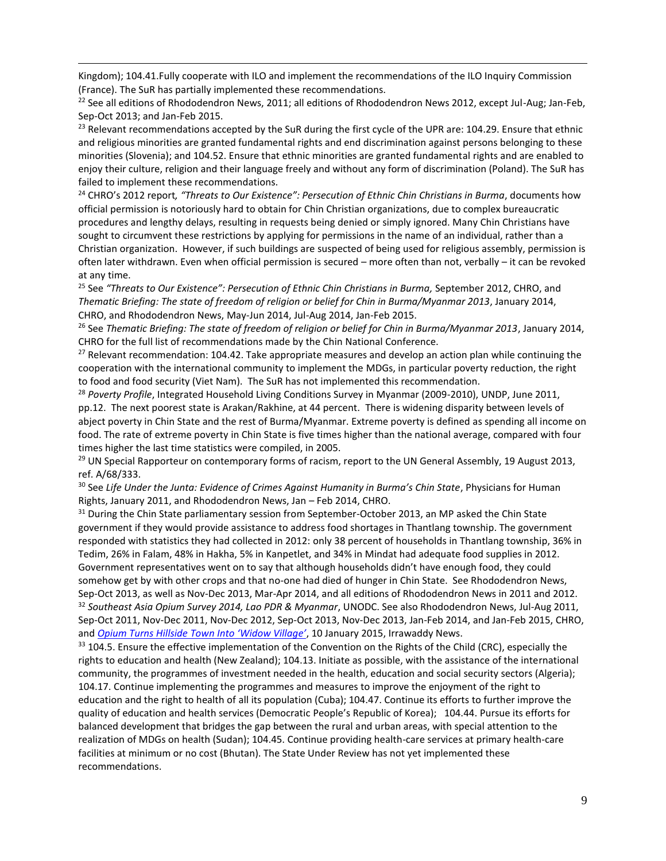Kingdom); 104.41.Fully cooperate with ILO and implement the recommendations of the ILO Inquiry Commission (France). The SuR has partially implemented these recommendations.

l

 $^{22}$  See all editions of Rhododendron News, 2011; all editions of Rhododendron News 2012, except Jul-Aug; Jan-Feb, Sep-Oct 2013; and Jan-Feb 2015.

<sup>23</sup> Relevant recommendations accepted by the SuR during the first cycle of the UPR are: 104.29. Ensure that ethnic and religious minorities are granted fundamental rights and end discrimination against persons belonging to these minorities (Slovenia); and 104.52. Ensure that ethnic minorities are granted fundamental rights and are enabled to enjoy their culture, religion and their language freely and without any form of discrimination (Poland). The SuR has failed to implement these recommendations.

<sup>24</sup> CHRO's 2012 report*, "Threats to Our Existence": Persecution of Ethnic Chin Christians in Burma*, documents how official permission is notoriously hard to obtain for Chin Christian organizations, due to complex bureaucratic procedures and lengthy delays, resulting in requests being denied or simply ignored. Many Chin Christians have sought to circumvent these restrictions by applying for permissions in the name of an individual, rather than a Christian organization. However, if such buildings are suspected of being used for religious assembly, permission is often later withdrawn. Even when official permission is secured – more often than not, verbally – it can be revoked at any time.

<sup>25</sup> See *"Threats to Our Existence": Persecution of Ethnic Chin Christians in Burma,* September 2012, CHRO, and *Thematic Briefing: The state of freedom of religion or belief for Chin in Burma/Myanmar 2013*, January 2014, CHRO, and Rhododendron News, May-Jun 2014, Jul-Aug 2014, Jan-Feb 2015.

<sup>26</sup> See *Thematic Briefing: The state of freedom of religion or belief for Chin in Burma/Myanmar 2013, January 2014,* CHRO for the full list of recommendations made by the Chin National Conference.

<sup>27</sup> Relevant recommendation: 104.42. Take appropriate measures and develop an action plan while continuing the cooperation with the international community to implement the MDGs, in particular poverty reduction, the right to food and food security (Viet Nam). The SuR has not implemented this recommendation.

<sup>28</sup> Poverty Profile, Integrated Household Living Conditions Survey in Myanmar (2009-2010), UNDP, June 2011, pp.12. The next poorest state is Arakan/Rakhine, at 44 percent. There is widening disparity between levels of abject poverty in Chin State and the rest of Burma/Myanmar. Extreme poverty is defined as spending all income on food. The rate of extreme poverty in Chin State is five times higher than the national average, compared with four times higher the last time statistics were compiled, in 2005.

 $29$  UN Special Rapporteur on contemporary forms of racism, report to the UN General Assembly, 19 August 2013, ref. A/68/333.

<sup>30</sup> See *Life Under the Junta: Evidence of Crimes Against Humanity in Burma's Chin State*, Physicians for Human Rights, January 2011, and Rhododendron News, Jan – Feb 2014, CHRO.

<sup>31</sup> During the Chin State parliamentary session from September-October 2013, an MP asked the Chin State government if they would provide assistance to address food shortages in Thantlang township. The government responded with statistics they had collected in 2012: only 38 percent of households in Thantlang township, 36% in Tedim, 26% in Falam, 48% in Hakha, 5% in Kanpetlet, and 34% in Mindat had adequate food supplies in 2012. Government representatives went on to say that although households didn't have enough food, they could somehow get by with other crops and that no-one had died of hunger in Chin State. See Rhododendron News, Sep-Oct 2013, as well as Nov-Dec 2013, Mar-Apr 2014, and all editions of Rhododendron News in 2011 and 2012. <sup>32</sup> *Southeast Asia Opium Survey 2014, Lao PDR & Myanmar*, UNODC. See also Rhododendron News, Jul-Aug 2011, Sep-Oct 2011, Nov-Dec 2011, Nov-Dec 2012, Sep-Oct 2013, Nov-Dec 2013, Jan-Feb 2014, and Jan-Feb 2015, CHRO, and *[Opium Turns Hillside Town Into 'Widow Village'](http://www.irrawaddy.org/feature/opium-turns-hillside-town-widow-village.html)*, 10 January 2015, Irrawaddy News.

<sup>33</sup> 104.5. Ensure the effective implementation of the Convention on the Rights of the Child (CRC), especially the rights to education and health (New Zealand); 104.13. Initiate as possible, with the assistance of the international community, the programmes of investment needed in the health, education and social security sectors (Algeria); 104.17. Continue implementing the programmes and measures to improve the enjoyment of the right to education and the right to health of all its population (Cuba); 104.47. Continue its efforts to further improve the quality of education and health services (Democratic People's Republic of Korea); 104.44. Pursue its efforts for balanced development that bridges the gap between the rural and urban areas, with special attention to the realization of MDGs on health (Sudan); 104.45. Continue providing health-care services at primary health-care facilities at minimum or no cost (Bhutan). The State Under Review has not yet implemented these recommendations.